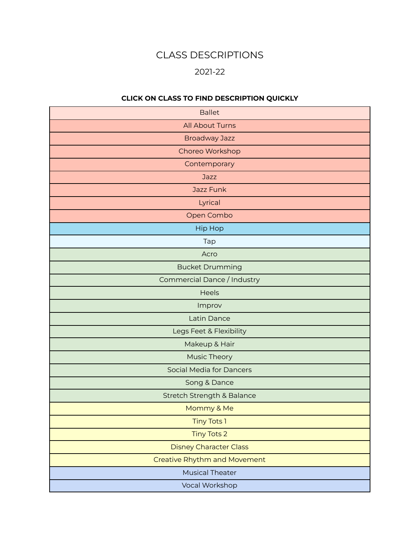# CLASS DESCRIPTIONS

## 2021-22

## **CLICK ON CLASS TO FIND DESCRIPTION QUICKLY**

| <b>Ballet</b>                   |
|---------------------------------|
| <b>All About Turns</b>          |
| <b>Broadway Jazz</b>            |
| Choreo Workshop                 |
| Contemporary                    |
| Jazz                            |
| Jazz Funk                       |
| Lyrical                         |
| Open Combo                      |
| <b>Hip Hop</b>                  |
| Tap                             |
| Acro                            |
| <b>Bucket Drumming</b>          |
| Commercial Dance / Industry     |
| <b>Heels</b>                    |
| Improv                          |
| Latin Dance                     |
| Legs Feet & Flexibility         |
| Makeup & Hair                   |
| Music Theory                    |
| <b>Social Media for Dancers</b> |
| Song & Dance                    |
| Stretch Strength & Balance      |
| Mommy & Me                      |
| <b>Tiny Tots 1</b>              |
| <b>Tiny Tots 2</b>              |
| <b>Disney Character Class</b>   |
| Creative Rhythm and Movement    |
| <b>Musical Theater</b>          |
| Vocal Workshop                  |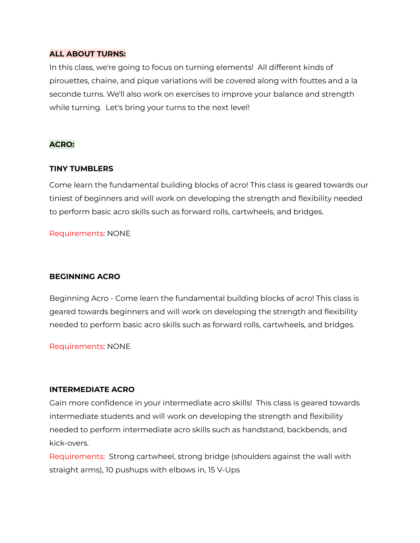#### <span id="page-1-0"></span>**ALL ABOUT TURNS:**

In this class, we're going to focus on turning elements! All different kinds of pirouettes, chaine, and pique variations will be covered along with fouttes and a la seconde turns. We'll also work on exercises to improve your balance and strength while turning. Let's bring your turns to the next level!

## <span id="page-1-1"></span>**ACRO:**

## **TINY TUMBLERS**

Come learn the fundamental building blocks of acro! This class is geared towards our tiniest of beginners and will work on developing the strength and flexibility needed to perform basic acro skills such as forward rolls, cartwheels, and bridges.

Requirements: NONE

#### **BEGINNING ACRO**

Beginning Acro - Come learn the fundamental building blocks of acro! This class is geared towards beginners and will work on developing the strength and flexibility needed to perform basic acro skills such as forward rolls, cartwheels, and bridges.

Requirements: NONE

#### **INTERMEDIATE ACRO**

Gain more confidence in your intermediate acro skills! This class is geared towards intermediate students and will work on developing the strength and flexibility needed to perform intermediate acro skills such as handstand, backbends, and kick-overs.

Requirements: Strong cartwheel, strong bridge (shoulders against the wall with straight arms), 10 pushups with elbows in, 15 V-Ups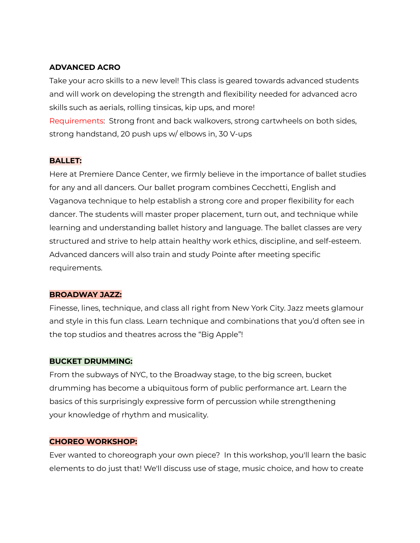## **ADVANCED ACRO**

Take your acro skills to a new level! This class is geared towards advanced students and will work on developing the strength and flexibility needed for advanced acro skills such as aerials, rolling tinsicas, kip ups, and more! Requirements: Strong front and back walkovers, strong cartwheels on both sides, strong handstand, 20 push ups w/ elbows in, 30 V-ups

## <span id="page-2-0"></span>**BALLET:**

Here at Premiere Dance Center, we firmly believe in the importance of ballet studies for any and all dancers. Our ballet program combines Cecchetti, English and Vaganova technique to help establish a strong core and proper flexibility for each dancer. The students will master proper placement, turn out, and technique while learning and understanding ballet history and language. The ballet classes are very structured and strive to help attain healthy work ethics, discipline, and self-esteem. Advanced dancers will also train and study Pointe after meeting specific requirements.

## <span id="page-2-1"></span>**BROADWAY JAZZ:**

Finesse, lines, technique, and class all right from New York City. Jazz meets glamour and style in this fun class. Learn technique and combinations that you'd often see in the top studios and theatres across the "Big Apple"!

## <span id="page-2-3"></span>**BUCKET DRUMMING:**

From the subways of NYC, to the Broadway stage, to the big screen, bucket drumming has become a ubiquitous form of public performance art. Learn the basics of this surprisingly expressive form of percussion while strengthening your knowledge of rhythm and musicality.

#### <span id="page-2-2"></span>**CHOREO WORKSHOP:**

Ever wanted to choreograph your own piece? In this workshop, you'll learn the basic elements to do just that! We'll discuss use of stage, music choice, and how to create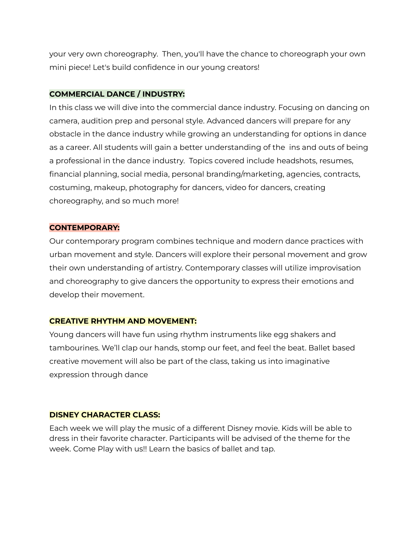your very own choreography. Then, you'll have the chance to choreograph your own mini piece! Let's build confidence in our young creators!

## **COMMERCIAL DANCE / INDUSTRY:**

In this class we will dive into the commercial dance industry. Focusing on dancing on camera, audition prep and personal style. Advanced dancers will prepare for any obstacle in the dance industry while growing an understanding for options in dance as a career. All students will gain a better understanding of the ins and outs of being a professional in the dance industry. Topics covered include headshots, resumes, financial planning, social media, personal branding/marketing, agencies, contracts, costuming, makeup, photography for dancers, video for dancers, creating choreography, and so much more!

## <span id="page-3-0"></span>**CONTEMPORARY:**

Our contemporary program combines technique and modern dance practices with urban movement and style. Dancers will explore their personal movement and grow their own understanding of artistry. Contemporary classes will utilize improvisation and choreography to give dancers the opportunity to express their emotions and develop their movement.

#### <span id="page-3-2"></span>**CREATIVE RHYTHM AND MOVEMENT:**

Young dancers will have fun using rhythm instruments like egg shakers and tambourines. We'll clap our hands, stomp our feet, and feel the beat. Ballet based creative movement will also be part of the class, taking us into imaginative expression through dance

## <span id="page-3-1"></span>**DISNEY CHARACTER CLASS:**

Each week we will play the music of a different Disney movie. Kids will be able to dress in their favorite character. Participants will be advised of the theme for the week. Come Play with us!! Learn the basics of ballet and tap.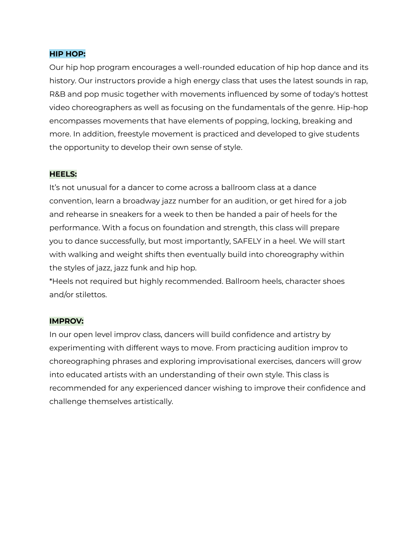#### **HIP HOP:**

Our hip hop program encourages a well-rounded education of hip hop dance and its history. Our instructors provide a high energy class that uses the latest sounds in rap, R&B and pop music together with movements influenced by some of today's hottest video choreographers as well as focusing on the fundamentals of the genre. Hip-hop encompasses movements that have elements of popping, locking, breaking and more. In addition, freestyle movement is practiced and developed to give students the opportunity to develop their own sense of style.

#### <span id="page-4-0"></span>**HEELS:**

It's not unusual for a dancer to come across a ballroom class at a dance convention, learn a broadway jazz number for an audition, or get hired for a job and rehearse in sneakers for a week to then be handed a pair of heels for the performance. With a focus on foundation and strength, this class will prepare you to dance successfully, but most importantly, SAFELY in a heel. We will start with walking and weight shifts then eventually build into choreography within the styles of jazz, jazz funk and hip hop.

\*Heels not required but highly recommended. Ballroom heels, character shoes and/or stilettos.

#### <span id="page-4-1"></span>**IMPROV:**

In our open level improv class, dancers will build confidence and artistry by experimenting with different ways to move. From practicing audition improv to choreographing phrases and exploring improvisational exercises, dancers will grow into educated artists with an understanding of their own style. This class is recommended for any experienced dancer wishing to improve their confidence and challenge themselves artistically.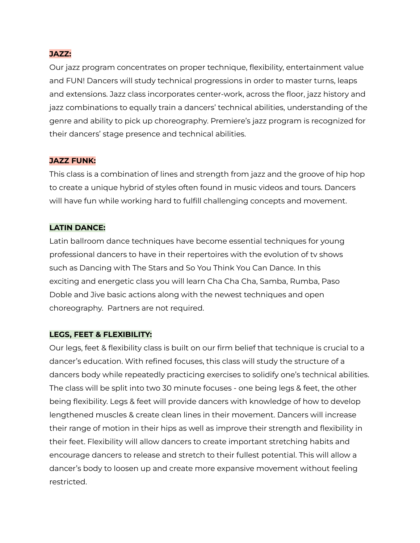## <span id="page-5-0"></span>**JAZZ:**

Our jazz program concentrates on proper technique, flexibility, entertainment value and FUN! Dancers will study technical progressions in order to master turns, leaps and extensions. Jazz class incorporates center-work, across the floor, jazz history and jazz combinations to equally train a dancers' technical abilities, understanding of the genre and ability to pick up choreography. Premiere's jazz program is recognized for their dancers' stage presence and technical abilities.

#### <span id="page-5-1"></span>**JAZZ FUNK:**

This class is a combination of lines and strength from jazz and the groove of hip hop to create a unique hybrid of styles often found in music videos and tours. Dancers will have fun while working hard to fulfill challenging concepts and movement.

## <span id="page-5-2"></span>**LATIN DANCE:**

Latin ballroom dance techniques have become essential techniques for young professional dancers to have in their repertoires with the evolution of tv shows such as Dancing with The Stars and So You Think You Can Dance. In this exciting and energetic class you will learn Cha Cha Cha, Samba, Rumba, Paso Doble and Jive basic actions along with the newest techniques and open choreography. Partners are not required.

#### <span id="page-5-3"></span>**LEGS, FEET & FLEXIBILITY:**

Our legs, feet & flexibility class is built on our firm belief that technique is crucial to a dancer's education. With refined focuses, this class will study the structure of a dancers body while repeatedly practicing exercises to solidify one's technical abilities. The class will be split into two 30 minute focuses - one being legs & feet, the other being flexibility. Legs & feet will provide dancers with knowledge of how to develop lengthened muscles & create clean lines in their movement. Dancers will increase their range of motion in their hips as well as improve their strength and flexibility in their feet. Flexibility will allow dancers to create important stretching habits and encourage dancers to release and stretch to their fullest potential. This will allow a dancer's body to loosen up and create more expansive movement without feeling restricted.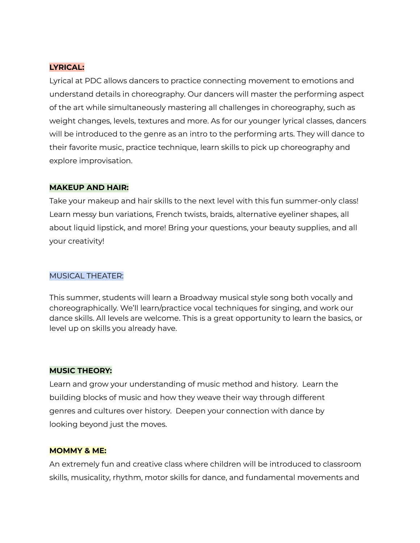## <span id="page-6-0"></span>**LYRICAL:**

Lyrical at PDC allows dancers to practice connecting movement to emotions and understand details in choreography. Our dancers will master the performing aspect of the art while simultaneously mastering all challenges in choreography, such as weight changes, levels, textures and more. As for our younger lyrical classes, dancers will be introduced to the genre as an intro to the performing arts. They will dance to their favorite music, practice technique, learn skills to pick up choreography and explore improvisation.

#### <span id="page-6-1"></span>**MAKEUP AND HAIR:**

Take your makeup and hair skills to the next level with this fun summer-only class! Learn messy bun variations, French twists, braids, alternative eyeliner shapes, all about liquid lipstick, and more! Bring your questions, your beauty supplies, and all your creativity!

#### <span id="page-6-3"></span>MUSICAL THEATER:

This summer, students will learn a Broadway musical style song both vocally and choreographically. We'll learn/practice vocal techniques for singing, and work our dance skills. All levels are welcome. This is a great opportunity to learn the basics, or level up on skills you already have.

#### **MUSIC THEORY:**

Learn and grow your understanding of music method and history. Learn the building blocks of music and how they weave their way through different genres and cultures over history. Deepen your connection with dance by looking beyond just the moves.

#### <span id="page-6-2"></span>**MOMMY & ME:**

An extremely fun and creative class where children will be introduced to classroom skills, musicality, rhythm, motor skills for dance, and fundamental movements and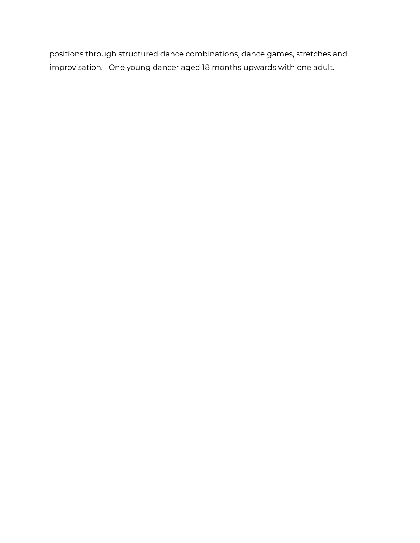<span id="page-7-0"></span>positions through structured dance combinations, dance games, stretches and improvisation. One young dancer aged 18 months upwards with one adult.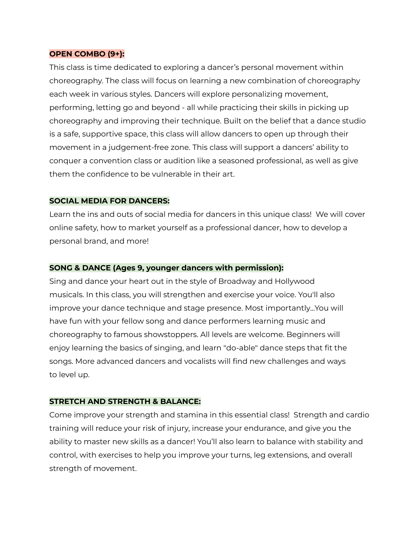### **OPEN COMBO (9+):**

This class is time dedicated to exploring a dancer's personal movement within choreography. The class will focus on learning a new combination of choreography each week in various styles. Dancers will explore personalizing movement, performing, letting go and beyond - all while practicing their skills in picking up choreography and improving their technique. Built on the belief that a dance studio is a safe, supportive space, this class will allow dancers to open up through their movement in a judgement-free zone. This class will support a dancers' ability to conquer a convention class or audition like a seasoned professional, as well as give them the confidence to be vulnerable in their art.

## <span id="page-8-0"></span>**SOCIAL MEDIA FOR DANCERS:**

Learn the ins and outs of social media for dancers in this unique class! We will cover online safety, how to market yourself as a professional dancer, how to develop a personal brand, and more!

## <span id="page-8-1"></span>**SONG & DANCE (Ages 9, younger dancers with permission):**

Sing and dance your heart out in the style of Broadway and Hollywood musicals. In this class, you will strengthen and exercise your voice. You'll also improve your dance technique and stage presence. Most importantly...You will have fun with your fellow song and dance performers learning music and choreography to famous showstoppers. All levels are welcome. Beginners will enjoy learning the basics of singing, and learn "do-able" dance steps that fit the songs. More advanced dancers and vocalists will find new challenges and ways to level up.

#### <span id="page-8-2"></span>**STRETCH AND STRENGTH & BALANCE:**

Come improve your strength and stamina in this essential class! Strength and cardio training will reduce your risk of injury, increase your endurance, and give you the ability to master new skills as a dancer! You'll also learn to balance with stability and control, with exercises to help you improve your turns, leg extensions, and overall strength of movement.